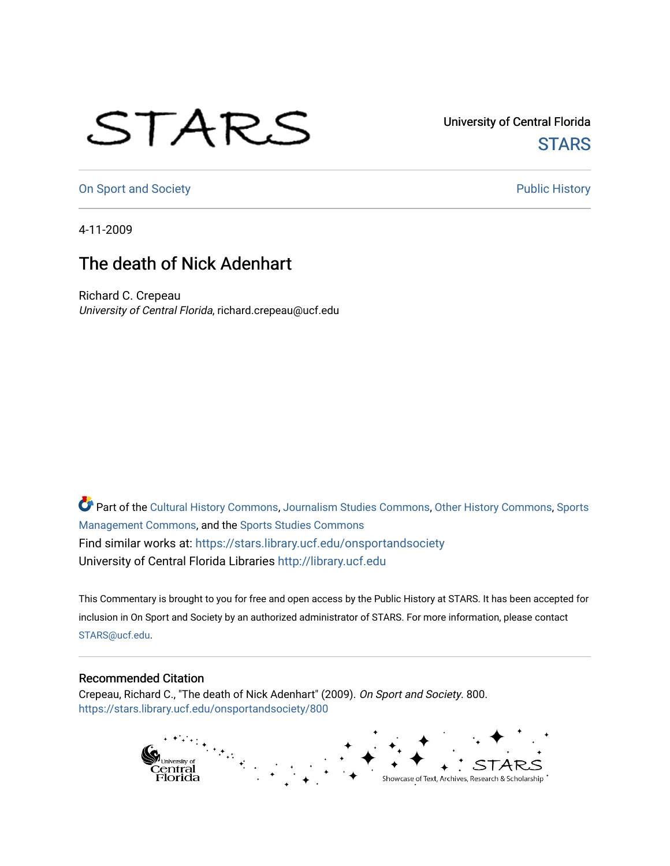## STARS

University of Central Florida **STARS** 

[On Sport and Society](https://stars.library.ucf.edu/onsportandsociety) **Public History** Public History

4-11-2009

## The death of Nick Adenhart

Richard C. Crepeau University of Central Florida, richard.crepeau@ucf.edu

Part of the [Cultural History Commons](http://network.bepress.com/hgg/discipline/496?utm_source=stars.library.ucf.edu%2Fonsportandsociety%2F800&utm_medium=PDF&utm_campaign=PDFCoverPages), [Journalism Studies Commons,](http://network.bepress.com/hgg/discipline/333?utm_source=stars.library.ucf.edu%2Fonsportandsociety%2F800&utm_medium=PDF&utm_campaign=PDFCoverPages) [Other History Commons,](http://network.bepress.com/hgg/discipline/508?utm_source=stars.library.ucf.edu%2Fonsportandsociety%2F800&utm_medium=PDF&utm_campaign=PDFCoverPages) [Sports](http://network.bepress.com/hgg/discipline/1193?utm_source=stars.library.ucf.edu%2Fonsportandsociety%2F800&utm_medium=PDF&utm_campaign=PDFCoverPages) [Management Commons](http://network.bepress.com/hgg/discipline/1193?utm_source=stars.library.ucf.edu%2Fonsportandsociety%2F800&utm_medium=PDF&utm_campaign=PDFCoverPages), and the [Sports Studies Commons](http://network.bepress.com/hgg/discipline/1198?utm_source=stars.library.ucf.edu%2Fonsportandsociety%2F800&utm_medium=PDF&utm_campaign=PDFCoverPages) Find similar works at: <https://stars.library.ucf.edu/onsportandsociety> University of Central Florida Libraries [http://library.ucf.edu](http://library.ucf.edu/) 

This Commentary is brought to you for free and open access by the Public History at STARS. It has been accepted for inclusion in On Sport and Society by an authorized administrator of STARS. For more information, please contact [STARS@ucf.edu](mailto:STARS@ucf.edu).

## Recommended Citation

Crepeau, Richard C., "The death of Nick Adenhart" (2009). On Sport and Society. 800. [https://stars.library.ucf.edu/onsportandsociety/800](https://stars.library.ucf.edu/onsportandsociety/800?utm_source=stars.library.ucf.edu%2Fonsportandsociety%2F800&utm_medium=PDF&utm_campaign=PDFCoverPages)

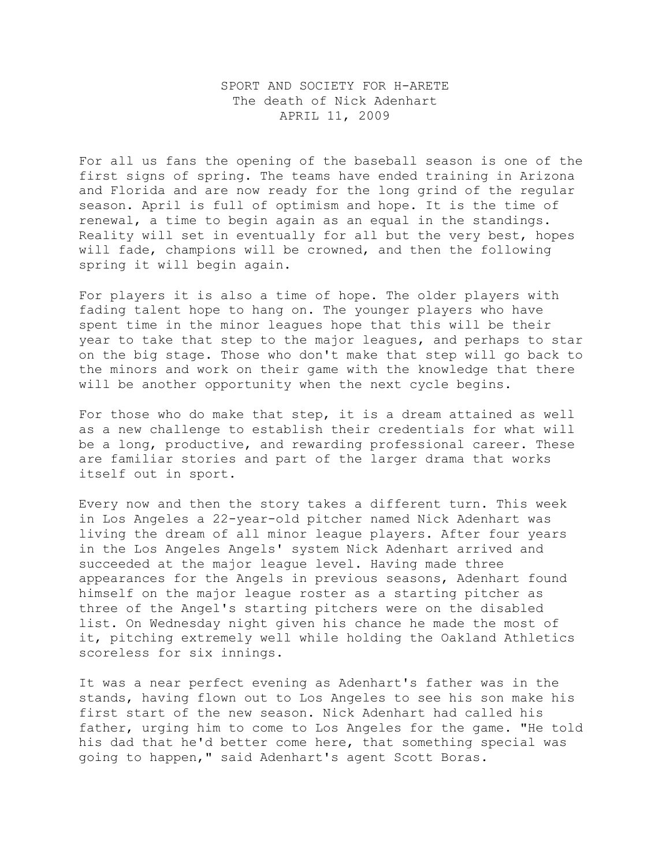## SPORT AND SOCIETY FOR H-ARETE The death of Nick Adenhart APRIL 11, 2009

For all us fans the opening of the baseball season is one of the first signs of spring. The teams have ended training in Arizona and Florida and are now ready for the long grind of the regular season. April is full of optimism and hope. It is the time of renewal, a time to begin again as an equal in the standings. Reality will set in eventually for all but the very best, hopes will fade, champions will be crowned, and then the following spring it will begin again.

For players it is also a time of hope. The older players with fading talent hope to hang on. The younger players who have spent time in the minor leagues hope that this will be their year to take that step to the major leagues, and perhaps to star on the big stage. Those who don't make that step will go back to the minors and work on their game with the knowledge that there will be another opportunity when the next cycle begins.

For those who do make that step, it is a dream attained as well as a new challenge to establish their credentials for what will be a long, productive, and rewarding professional career. These are familiar stories and part of the larger drama that works itself out in sport.

Every now and then the story takes a different turn. This week in Los Angeles a 22-year-old pitcher named Nick Adenhart was living the dream of all minor league players. After four years in the Los Angeles Angels' system Nick Adenhart arrived and succeeded at the major league level. Having made three appearances for the Angels in previous seasons, Adenhart found himself on the major league roster as a starting pitcher as three of the Angel's starting pitchers were on the disabled list. On Wednesday night given his chance he made the most of it, pitching extremely well while holding the Oakland Athletics scoreless for six innings.

It was a near perfect evening as Adenhart's father was in the stands, having flown out to Los Angeles to see his son make his first start of the new season. Nick Adenhart had called his father, urging him to come to Los Angeles for the game. "He told his dad that he'd better come here, that something special was going to happen," said Adenhart's agent Scott Boras.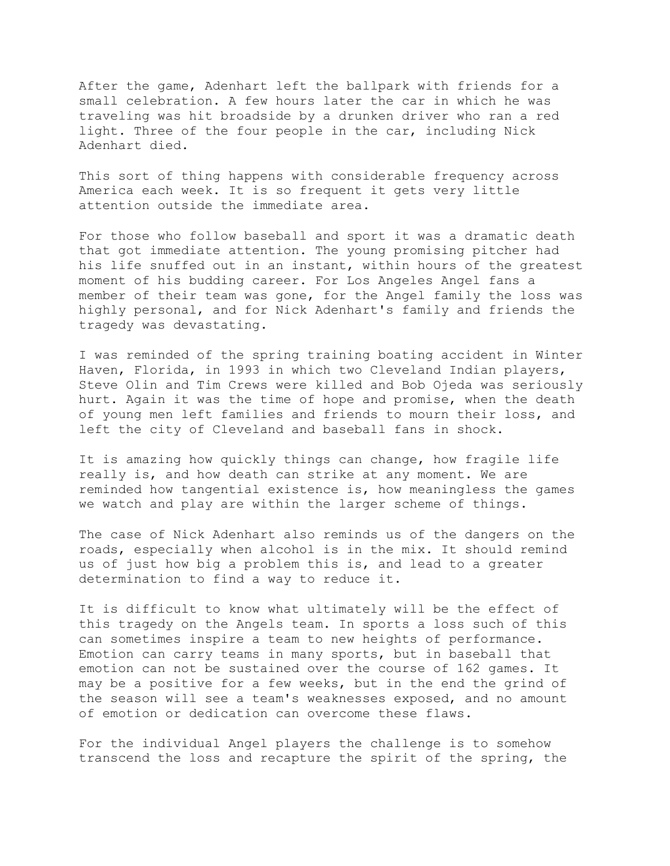After the game, Adenhart left the ballpark with friends for a small celebration. A few hours later the car in which he was traveling was hit broadside by a drunken driver who ran a red light. Three of the four people in the car, including Nick Adenhart died.

This sort of thing happens with considerable frequency across America each week. It is so frequent it gets very little attention outside the immediate area.

For those who follow baseball and sport it was a dramatic death that got immediate attention. The young promising pitcher had his life snuffed out in an instant, within hours of the greatest moment of his budding career. For Los Angeles Angel fans a member of their team was gone, for the Angel family the loss was highly personal, and for Nick Adenhart's family and friends the tragedy was devastating.

I was reminded of the spring training boating accident in Winter Haven, Florida, in 1993 in which two Cleveland Indian players, Steve Olin and Tim Crews were killed and Bob Ojeda was seriously hurt. Again it was the time of hope and promise, when the death of young men left families and friends to mourn their loss, and left the city of Cleveland and baseball fans in shock.

It is amazing how quickly things can change, how fragile life really is, and how death can strike at any moment. We are reminded how tangential existence is, how meaningless the games we watch and play are within the larger scheme of things.

The case of Nick Adenhart also reminds us of the dangers on the roads, especially when alcohol is in the mix. It should remind us of just how big a problem this is, and lead to a greater determination to find a way to reduce it.

It is difficult to know what ultimately will be the effect of this tragedy on the Angels team. In sports a loss such of this can sometimes inspire a team to new heights of performance. Emotion can carry teams in many sports, but in baseball that emotion can not be sustained over the course of 162 games. It may be a positive for a few weeks, but in the end the grind of the season will see a team's weaknesses exposed, and no amount of emotion or dedication can overcome these flaws.

For the individual Angel players the challenge is to somehow transcend the loss and recapture the spirit of the spring, the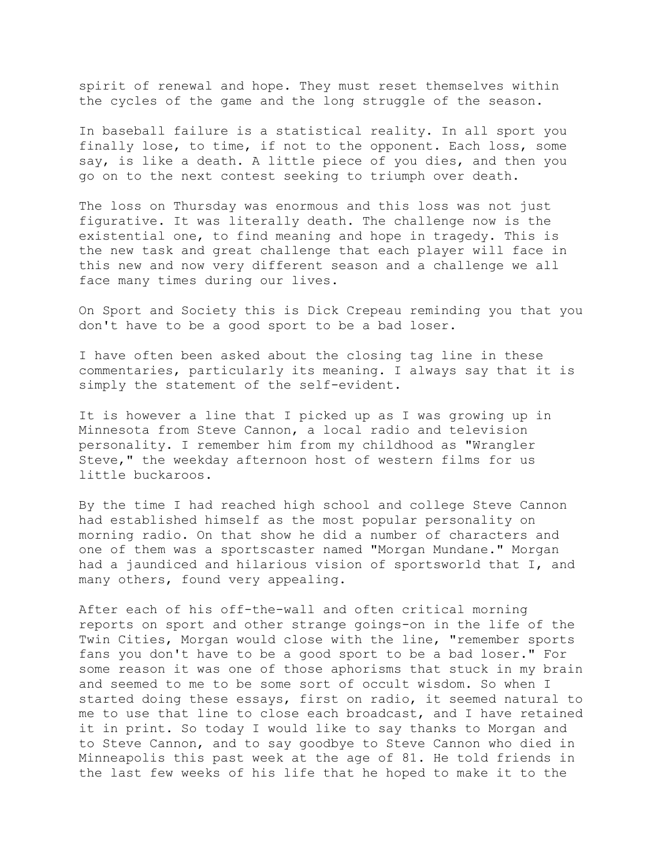spirit of renewal and hope. They must reset themselves within the cycles of the game and the long struggle of the season.

In baseball failure is a statistical reality. In all sport you finally lose, to time, if not to the opponent. Each loss, some say, is like a death. A little piece of you dies, and then you go on to the next contest seeking to triumph over death.

The loss on Thursday was enormous and this loss was not just figurative. It was literally death. The challenge now is the existential one, to find meaning and hope in tragedy. This is the new task and great challenge that each player will face in this new and now very different season and a challenge we all face many times during our lives.

On Sport and Society this is Dick Crepeau reminding you that you don't have to be a good sport to be a bad loser.

I have often been asked about the closing tag line in these commentaries, particularly its meaning. I always say that it is simply the statement of the self-evident.

It is however a line that I picked up as I was growing up in Minnesota from Steve Cannon, a local radio and television personality. I remember him from my childhood as "Wrangler Steve," the weekday afternoon host of western films for us little buckaroos.

By the time I had reached high school and college Steve Cannon had established himself as the most popular personality on morning radio. On that show he did a number of characters and one of them was a sportscaster named "Morgan Mundane." Morgan had a jaundiced and hilarious vision of sportsworld that I, and many others, found very appealing.

After each of his off-the-wall and often critical morning reports on sport and other strange goings-on in the life of the Twin Cities, Morgan would close with the line, "remember sports fans you don't have to be a good sport to be a bad loser." For some reason it was one of those aphorisms that stuck in my brain and seemed to me to be some sort of occult wisdom. So when I started doing these essays, first on radio, it seemed natural to me to use that line to close each broadcast, and I have retained it in print. So today I would like to say thanks to Morgan and to Steve Cannon, and to say goodbye to Steve Cannon who died in Minneapolis this past week at the age of 81. He told friends in the last few weeks of his life that he hoped to make it to the